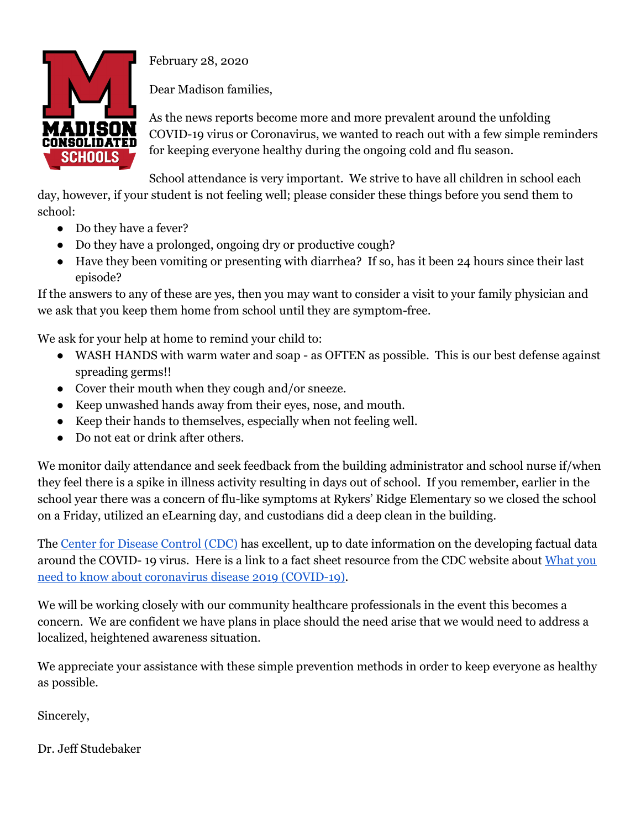

school:

February 28, 2020

Dear Madison families,

As the news reports become more and more prevalent around the unfolding COVID-19 virus or Coronavirus, we wanted to reach out with a few simple reminders for keeping everyone healthy during the ongoing cold and flu season.

School attendance is very important. We strive to have all children in school each day, however, if your student is not feeling well; please consider these things before you send them to

- Do they have a fever?
- Do they have a prolonged, ongoing dry or productive cough?
- Have they been vomiting or presenting with diarrhea? If so, has it been 24 hours since their last episode?

If the answers to any of these are yes, then you may want to consider a visit to your family physician and we ask that you keep them home from school until they are symptom-free.

We ask for your help at home to remind your child to:

- WASH HANDS with warm water and soap as OFTEN as possible. This is our best defense against spreading germs!!
- Cover their mouth when they cough and/or sneeze.
- Keep unwashed hands away from their eyes, nose, and mouth.
- Keep their hands to themselves, especially when not feeling well.
- Do not eat or drink after others.

We monitor daily attendance and seek feedback from the building administrator and school nurse if/when they feel there is a spike in illness activity resulting in days out of school. If you remember, earlier in the school year there was a concern of flu-like symptoms at Rykers' Ridge Elementary so we closed the school on a Friday, utilized an eLearning day, and custodians did a deep clean in the building.

The Center for [Disease](https://www.cdc.gov/coronavirus/index.html) Control (CDC) has excellent, up to date information on the developing factual data around the COVID- 19 virus. Here is a link to a fact sheet resource from the CDC website about [What](https://www.cdc.gov/coronavirus/2019-ncov/downloads/2019-ncov-factsheet.pdf) you need to know about coronavirus disease 2019 [\(COVID-19\).](https://www.cdc.gov/coronavirus/2019-ncov/downloads/2019-ncov-factsheet.pdf)

We will be working closely with our community healthcare professionals in the event this becomes a concern. We are confident we have plans in place should the need arise that we would need to address a localized, heightened awareness situation.

We appreciate your assistance with these simple prevention methods in order to keep everyone as healthy as possible.

Sincerely,

Dr. Jeff Studebaker